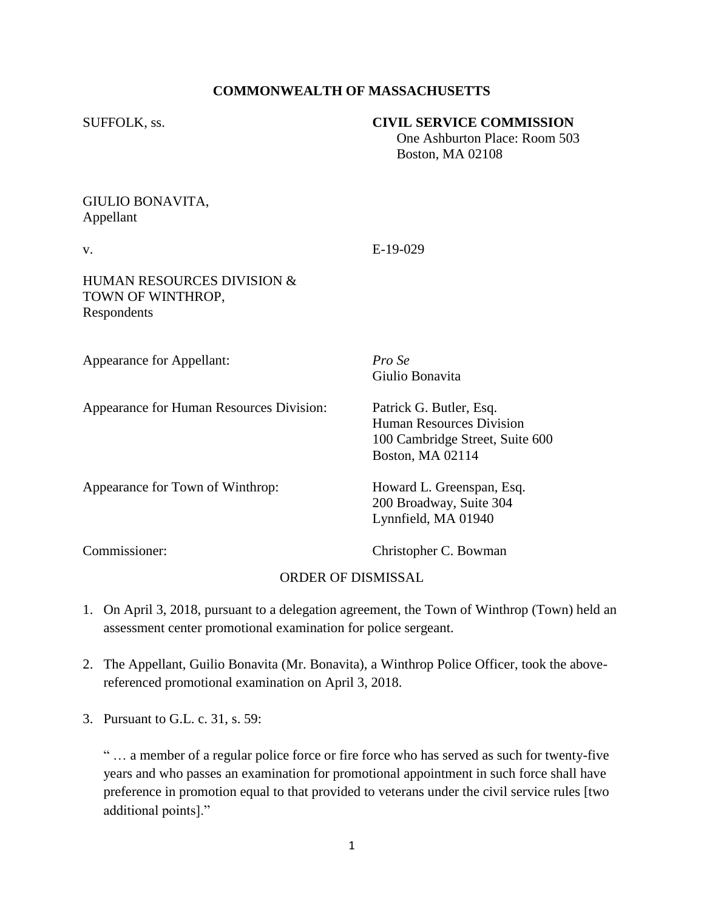### **COMMONWEALTH OF MASSACHUSETTS**

#### SUFFOLK, ss. **CIVIL SERVICE COMMISSION**

 One Ashburton Place: Room 503 Boston, MA 02108

## GIULIO BONAVITA, Appellant

v. E-19-029

#### HUMAN RESOURCES DIVISION & TOWN OF WINTHROP, Respondents

Appearance for Appellant: *Pro Se*

Giulio Bonavita

Appearance for Human Resources Division: Patrick G. Butler, Esq. Human Resources Division 100 Cambridge Street, Suite 600 Boston, MA 02114

Appearance for Town of Winthrop: Howard L. Greenspan, Esq.

200 Broadway, Suite 304 Lynnfield, MA 01940

Commissioner: Christopher C. Bowman

# ORDER OF DISMISSAL

- 1. On April 3, 2018, pursuant to a delegation agreement, the Town of Winthrop (Town) held an assessment center promotional examination for police sergeant.
- 2. The Appellant, Guilio Bonavita (Mr. Bonavita), a Winthrop Police Officer, took the abovereferenced promotional examination on April 3, 2018.
- 3. Pursuant to G.L. c. 31, s. 59:

" … a member of a regular police force or fire force who has served as such for twenty-five years and who passes an examination for promotional appointment in such force shall have preference in promotion equal to that provided to veterans under the civil service rules [two additional points]."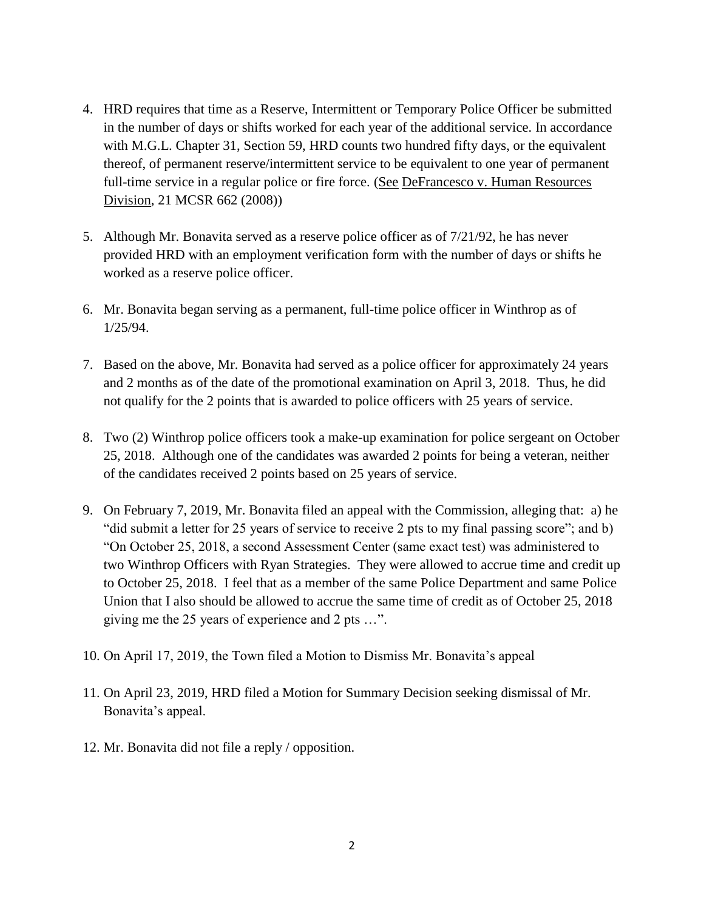- 4. HRD requires that time as a Reserve, Intermittent or Temporary Police Officer be submitted in the number of days or shifts worked for each year of the additional service. In accordance with M.G.L. Chapter 31, Section 59, HRD counts two hundred fifty days, or the equivalent thereof, of permanent reserve/intermittent service to be equivalent to one year of permanent full-time service in a regular police or fire force. (See DeFrancesco v. Human Resources Division, 21 MCSR 662 (2008))
- 5. Although Mr. Bonavita served as a reserve police officer as of 7/21/92, he has never provided HRD with an employment verification form with the number of days or shifts he worked as a reserve police officer.
- 6. Mr. Bonavita began serving as a permanent, full-time police officer in Winthrop as of 1/25/94.
- 7. Based on the above, Mr. Bonavita had served as a police officer for approximately 24 years and 2 months as of the date of the promotional examination on April 3, 2018. Thus, he did not qualify for the 2 points that is awarded to police officers with 25 years of service.
- 8. Two (2) Winthrop police officers took a make-up examination for police sergeant on October 25, 2018. Although one of the candidates was awarded 2 points for being a veteran, neither of the candidates received 2 points based on 25 years of service.
- 9. On February 7, 2019, Mr. Bonavita filed an appeal with the Commission, alleging that: a) he "did submit a letter for 25 years of service to receive 2 pts to my final passing score"; and b) "On October 25, 2018, a second Assessment Center (same exact test) was administered to two Winthrop Officers with Ryan Strategies. They were allowed to accrue time and credit up to October 25, 2018. I feel that as a member of the same Police Department and same Police Union that I also should be allowed to accrue the same time of credit as of October 25, 2018 giving me the 25 years of experience and 2 pts …".
- 10. On April 17, 2019, the Town filed a Motion to Dismiss Mr. Bonavita's appeal
- 11. On April 23, 2019, HRD filed a Motion for Summary Decision seeking dismissal of Mr. Bonavita's appeal.
- 12. Mr. Bonavita did not file a reply / opposition.